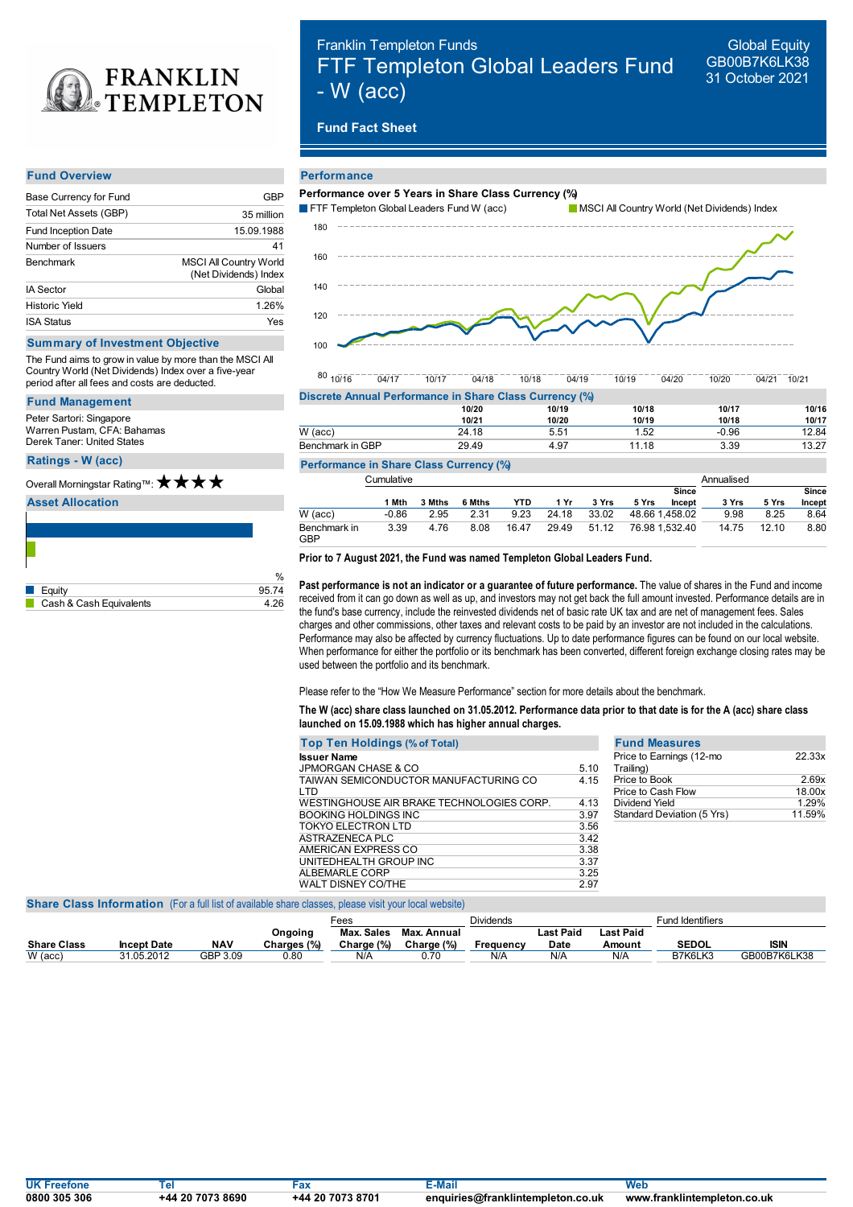

# Franklin Templeton Funds FTF Templeton Global Leaders Fund - W (acc)

Global Equity GB00B7K6LK38 31 October 2021

# **Fund Fact Sheet**

#### **Fund Overview**

| Base Currency for Fund     | GBP                                                    |
|----------------------------|--------------------------------------------------------|
| Total Net Assets (GBP)     | 35 million                                             |
| <b>Fund Inception Date</b> | 15.09.1988                                             |
| Number of Issuers          | 41                                                     |
| <b>Benchmark</b>           | <b>MSCI All Country World</b><br>(Net Dividends) Index |
| <b>IA Sector</b>           | Global                                                 |
| <b>Historic Yield</b>      | 1.26%                                                  |
| <b>ISA Status</b>          | Yes                                                    |

### **Summary of Investment Objective**

The Fund aims to grow in value by more than the MSCI All Country World (Net Dividends) Index over a five-year period after all fees and costs are deducted.

#### **Fund Management**

Peter Sartori: Singapore Warren Pustam, CFA: Bahamas Derek Taner: United States

## **Ratings -W (acc)**

## Overall Morningstar Rating™: ★ ★ ★ ★

**Asset Allocation**

|                         | %     |
|-------------------------|-------|
| Equity                  | 95.74 |
| Cash & Cash Equivalents | 4 26  |

# **Performance**



 $80$   $10/16$ 10/16 04/17 10/17 04/18 10/18 04/19 10/19 04/20 10/20 04/21 10/21

| Discrete Annual Performance in Share Class Currency (%) |       |       |       |         |       |  |  |  |
|---------------------------------------------------------|-------|-------|-------|---------|-------|--|--|--|
|                                                         | 10/20 | 10/19 | 10/18 | 10/17   | 10/16 |  |  |  |
|                                                         | 10/21 | 10/20 | 10/19 | 10/18   | 10/17 |  |  |  |
| $W$ (acc)                                               | 24.18 | 5.51  | 1.52  | $-0.96$ | 12.84 |  |  |  |
| Benchmark in GBP                                        | 29.49 | 4.97  | 11.18 | 3.39    | 13.27 |  |  |  |

## **Performance in Share Class Currency (%)**

|                            | Cumulative |        |        |            |       |       |                |              | Annualised |       |        |
|----------------------------|------------|--------|--------|------------|-------|-------|----------------|--------------|------------|-------|--------|
|                            |            |        |        |            |       |       |                | <b>Since</b> |            |       | Since  |
|                            | 1 Mth      | 3 Mths | 6 Mths | <b>YTD</b> | 1 Yr  | 3 Yrs | 5 Yrs          | Incept       | 3 Yrs      | 5 Yrs | Incept |
| $W$ (acc)                  | $-0.86$    | 2.95   | 2.31   | 9.23       | 24.18 | 33.02 | 48.66 1.458.02 |              | 9.98       | 8.25  | 8.64   |
| Benchmark in<br><b>GBP</b> | 3.39       | 4.76   | 8.08   | 16.47      | 29.49 | 51.12 | 76.98 1.532.40 |              | 14.75      | 12.10 | 8.80   |

#### **Prior to 7 August 2021, the Fund was named Templeton Global Leaders Fund.**

% **Past performance is not an indicator or a guarantee of future performance.** The value of shares in the Fund and income received from it can go down as well as up, and investors may not get back the full amount invested. Performance details are in the fund's base currency, include the reinvested dividends net of basic rate UK tax and are net of management fees. Sales charges and other commissions, other taxes and relevant costs to be paid by an investor are not included in the calculations. Performance may also be affected by currency fluctuations. Up to date performance figures can be found on our local website. When performance for either the portfolio or its benchmark has been converted, different foreign exchange closing rates may be used between the portfolio and its benchmark.

Please refer to the "How We Measure Performance" section for more details about the benchmark.

# The W (acc) share class launched on 31.05.2012. Performance data prior to that date is for the A (acc) share class **launched on 15.09.1988 which has higher annual charges.**

| <b>Top Ten Holdings (% of Total)</b>                |      |
|-----------------------------------------------------|------|
| <b>Issuer Name</b>                                  |      |
| JPMORGAN CHASE & CO                                 | 5.10 |
| TAIWAN SEMICONDUCTOR MANUFACTURING CO<br><b>LTD</b> | 4.15 |
| WESTINGHOUSE AIR BRAKE TECHNOLOGIES CORP.           | 4.13 |
| BOOKING HOLDINGS INC                                | 3.97 |
| TOKYO FI FCTRON I TD                                | 3.56 |
| ASTRAZENECA PLC                                     | 342  |
| AMERICAN EXPRESS CO                                 | 3.38 |
| UNITEDHEALTH GROUP INC                              | 3.37 |
| ALBEMARLE CORP                                      | 3.25 |
| <b>WALT DISNEY CO/THE</b>                           | 2.97 |

| <b>Fund Measures</b>                  |        |
|---------------------------------------|--------|
| Price to Earnings (12-mo<br>Trailing) | 22.33x |
| Price to Book                         | 269x   |
| Price to Cash Flow                    | 18.00x |
| Dividend Yield                        | 1 29%  |
| Standard Deviation (5 Yrs)            | 11.59% |

## **Share Class Information** (For a full list of available share classes, please visit your local website)

|                    |                    |            |             | Fees            |             | <b>Dividends</b> |           |           | <b>Fund Identifiers</b> |              |
|--------------------|--------------------|------------|-------------|-----------------|-------------|------------------|-----------|-----------|-------------------------|--------------|
|                    |                    |            | Ongoing     | . Sales<br>Max. | Max. Annual |                  | Last Paid | Last Paid |                         |              |
| <b>Share Class</b> | <b>Incept Date</b> | <b>NAV</b> | Charges (%) | Charge (%)      | Charge (%)  | Freauencv        | Date      | Amount    | <b>SEDOL</b>            | <b>ISIN</b>  |
| $W$ (acc)          | 31.05.2012         | GBP 3.09   | 0.80        | N/A             | 0.70        | N/A              | N/A       | N/A       | B7K6LK3                 | GB00B7K6LK38 |